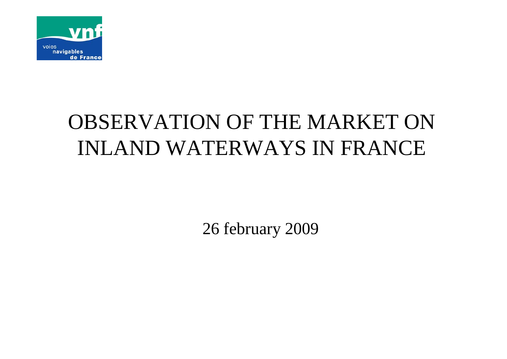

# OBSERVATION OF THE MARKET ON INLAND WATERWAYS IN FRANCE

26 february 2009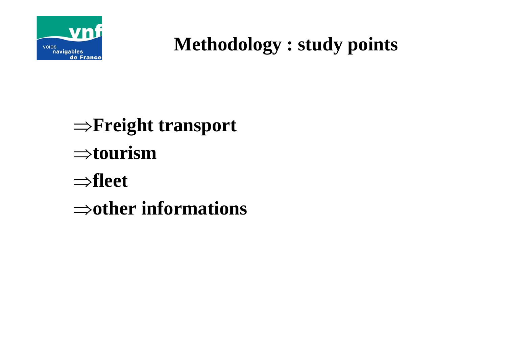

## **Methodology : study points**

<sup>⇒</sup>**Freight transport** ⇒**tourism** ⇒**fleet** ⇒**other informations**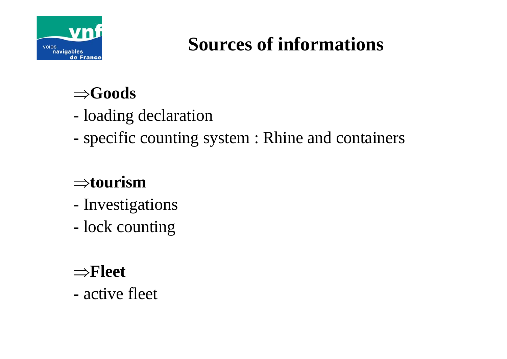

# **Sources of informations**

## ⇒**Goods**

- loading declaration
- specific counting system : Rhine and containers

## ⇒**tourism**

- -Investigations
- lock counting

### ⇒**Fleet**

- active fleet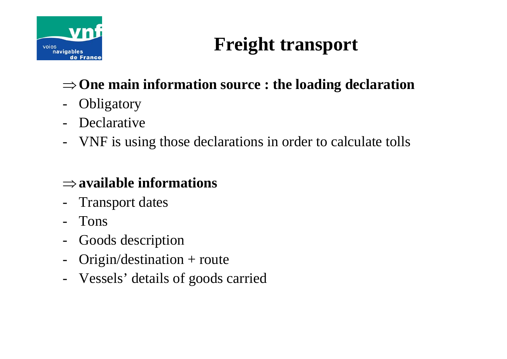

# **Freight transport**

### <sup>⇒</sup>**One main information source : the loading declaration**

- -**Obligatory**
- Declarative
- VNF is using those declarations in order to calculate tolls

### ⇒**available informations**

- -Transport dates
- Tons
- $\blacksquare$ Goods description
- $\blacksquare$ Origin/destination + route
- Vessels' details of goods carried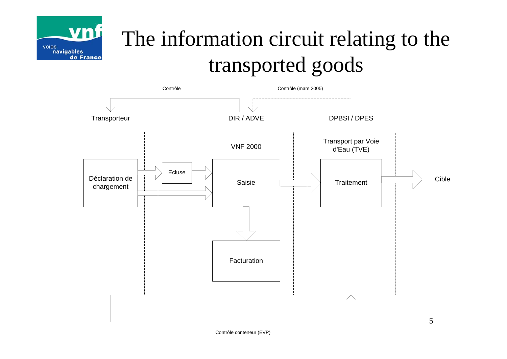

# The information circuit relating to the transported goods



Contrôle conteneur (EVP)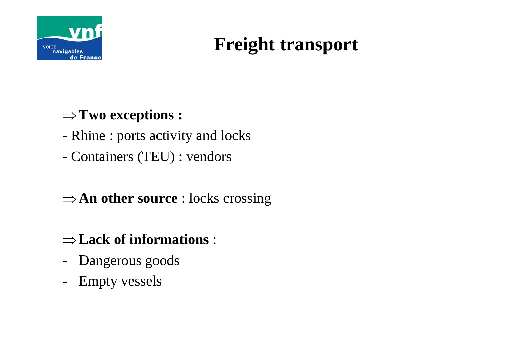

# **Freight transport**

### <sup>⇒</sup>**Two exceptions :**

- Rhine : ports activity and locks
- Containers (TEU) : vendors

### ⇒**An other source** : locks crossing

#### ⇒**Lack of informations** :

- -Dangerous goods
- -Empty vessels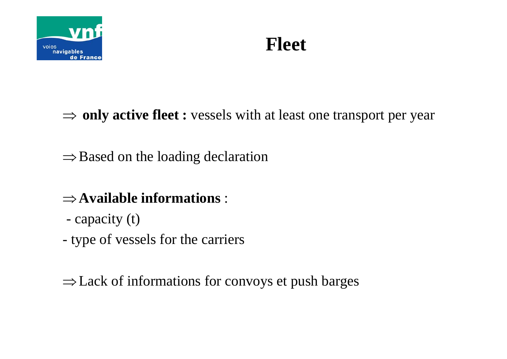

# **Fleet**

⇒ **only active fleet :** vessels with at least one transport per year

 $\Rightarrow$  Based on the loading declaration

### ⇒**Available informations** :

- capacity (t)
- type of vessels for the carriers

<sup>⇒</sup>Lack of informations for convoys et push barges